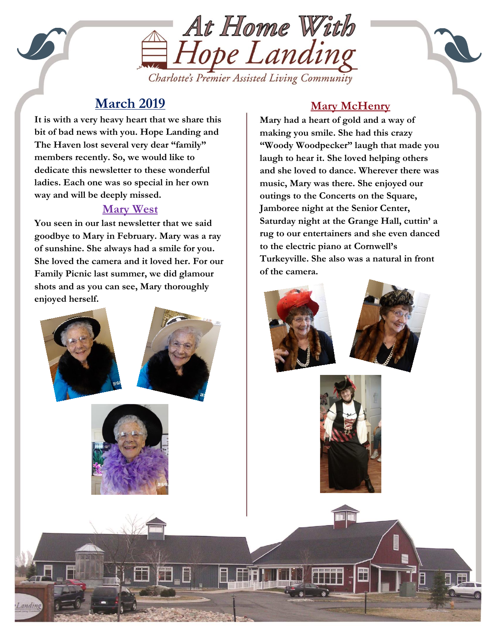

# **March 2019**

way and will be deeply missed. **It is with a very heavy heart that we share this bit of bad news with you. Hope Landing and The Haven lost several very dear "family" members recently. So, we would like to dedicate this newsletter to these wonderful ladies. Each one was so special in her own** 

### **Mary West**

**You seen in our last newsletter that we said goodbye to Mary in February. Mary was a ray of sunshine. She always had a smile for you. She loved the camera and it loved her. For our Family Picnic last summer, we did glamour shots and as you can see, Mary thoroughly enjoyed herself.**

## **Mary McHenry**

**Mary had a heart of gold and a way of making you smile. She had this crazy "Woody Woodpecker" laugh that made you laugh to hear it. She loved helping others and she loved to dance. Wherever there was music, Mary was there. She enjoyed our outings to the Concerts on the Square, Jamboree night at the Senior Center, Saturday night at the Grange Hall, cuttin' a rug to our entertainers and she even danced to the electric piano at Cornwell's Turkeyville. She also was a natural in front of the camera.**





l.